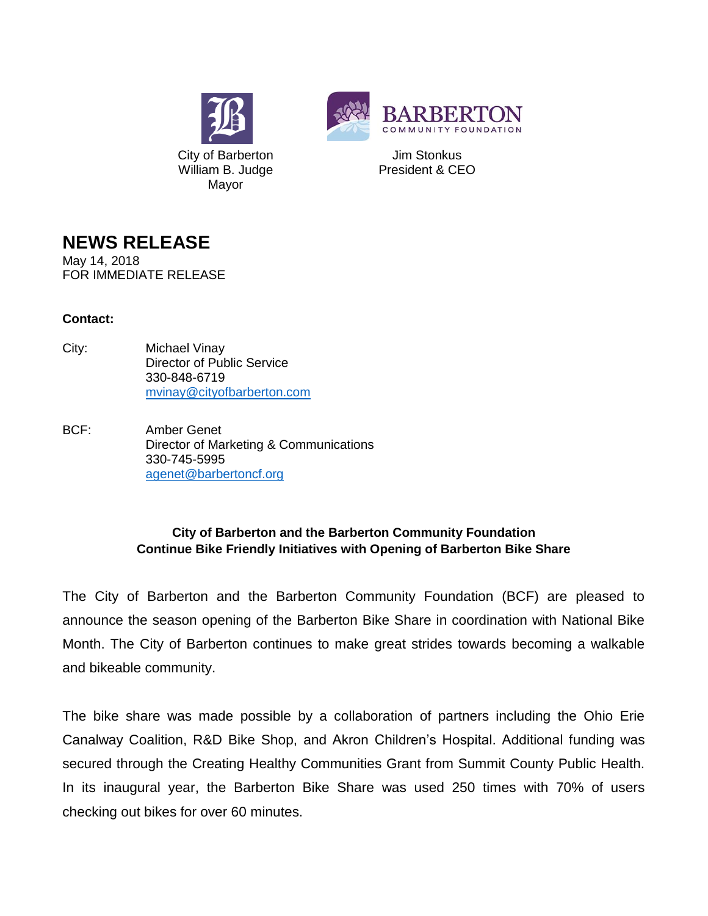



Jim Stonkus President & CEO

## **NEWS RELEASE**

May 14, 2018 FOR IMMEDIATE RELEASE

## **Contact:**

- City: Michael Vinay Director of Public Service 330-848-6719 [mvinay@cityofbarberton.com](mailto:mvinay@cityofbarberton.com)
- BCF: Amber Genet Director of Marketing & Communications 330-745-5995 [agenet@barbertoncf.org](mailto:agenet@barbertoncf.org)

## **City of Barberton and the Barberton Community Foundation Continue Bike Friendly Initiatives with Opening of Barberton Bike Share**

The City of Barberton and the Barberton Community Foundation (BCF) are pleased to announce the season opening of the Barberton Bike Share in coordination with National Bike Month. The City of Barberton continues to make great strides towards becoming a walkable and bikeable community.

The bike share was made possible by a collaboration of partners including the Ohio Erie Canalway Coalition, R&D Bike Shop, and Akron Children's Hospital. Additional funding was secured through the Creating Healthy Communities Grant from Summit County Public Health. In its inaugural year, the Barberton Bike Share was used 250 times with 70% of users checking out bikes for over 60 minutes.